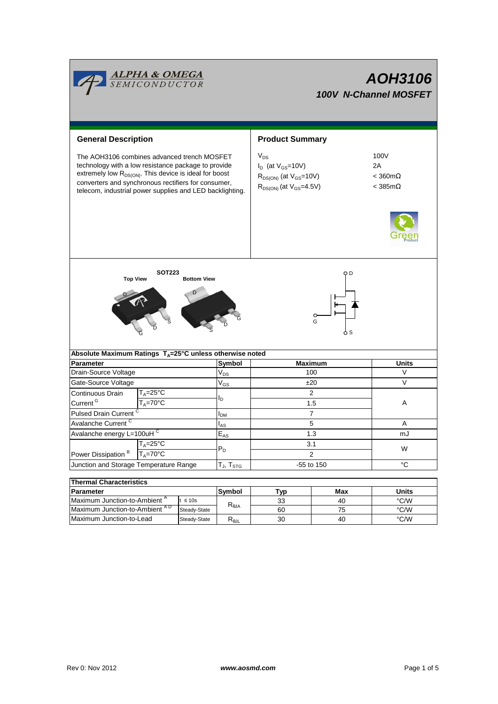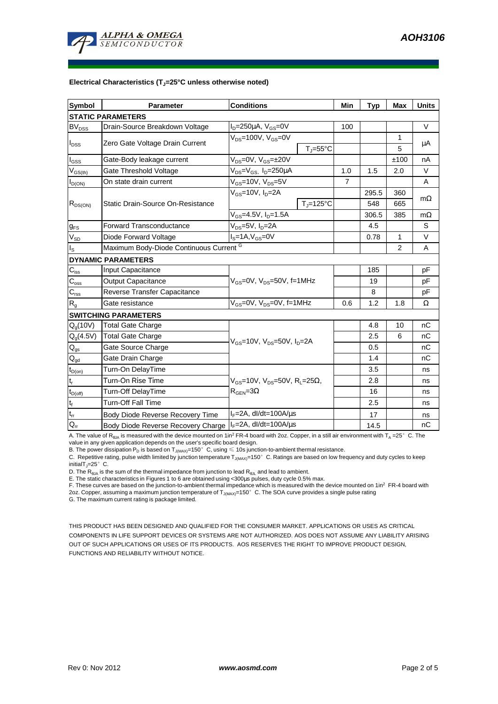

## **Electrical Characteristics (TJ=25°C unless otherwise noted)**

| <b>Symbol</b>                           | <b>Parameter</b>                        | <b>Conditions</b>                                                                |                     | Min | <b>Typ</b> | <b>Max</b>     | <b>Units</b> |
|-----------------------------------------|-----------------------------------------|----------------------------------------------------------------------------------|---------------------|-----|------------|----------------|--------------|
| <b>STATIC PARAMETERS</b>                |                                         |                                                                                  |                     |     |            |                |              |
| <b>BV<sub>DSS</sub></b>                 | Drain-Source Breakdown Voltage          | $I_D = 250 \mu A$ , $V_{GS} = 0V$                                                |                     | 100 |            |                | $\vee$       |
| $I_{\text{DSS}}$                        | Zero Gate Voltage Drain Current         | $V_{DS}$ =100V, $V_{GS}$ =0V                                                     | $T_i = 55^{\circ}C$ |     |            | 1<br>5         | μA           |
| $I_{GSS}$                               | Gate-Body leakage current               | $V_{DS} = 0V$ , $V_{GS} = \pm 20V$                                               |                     |     |            | ±100           | nA           |
| $\mathsf{V}_{\mathsf{GS}(\mathsf{th})}$ | Gate Threshold Voltage                  | $V_{DS} = V_{GS}$ , $I_D = 250 \mu A$                                            |                     | 1.0 | 1.5        | 2.0            | $\vee$       |
| $I_{D(ON)}$                             | On state drain current                  | $V_{GS}$ =10V, $V_{DS}$ =5V                                                      |                     | 7   |            |                | A            |
| $R_{DS(ON)}$                            | Static Drain-Source On-Resistance       | $V_{GS}$ =10V, $I_D$ =2A                                                         |                     |     | 295.5      | 360            | $m\Omega$    |
|                                         |                                         |                                                                                  | $TJ=125°C$          |     | 548        | 665            |              |
|                                         |                                         | $V_{GS}$ =4.5V, I <sub>D</sub> =1.5A                                             |                     |     | 306.5      | 385            | $m\Omega$    |
| $g_{FS}$                                | <b>Forward Transconductance</b>         | $V_{DS} = 5V$ , $I_D = 2A$                                                       |                     |     | 4.5        |                | S            |
| $V_{SD}$                                | Diode Forward Voltage                   | $I_S = 1A$ , $V_{GS} = 0V$                                                       |                     |     | 0.78       | $\mathbf 1$    | $\vee$       |
| $I_{\rm S}$                             | Maximum Body-Diode Continuous Current G |                                                                                  |                     |     |            | $\overline{2}$ | A            |
|                                         | <b>DYNAMIC PARAMETERS</b>               |                                                                                  |                     |     |            |                |              |
| $C_{\text{iss}}$                        | Input Capacitance                       | $V_{GS}$ =0V, $V_{DS}$ =50V, f=1MHz                                              |                     |     | 185        |                | pF           |
| $C_{\rm oss}$                           | <b>Output Capacitance</b>               |                                                                                  |                     |     | 19         |                | pF           |
| $C_{\rm rss}$                           | Reverse Transfer Capacitance            |                                                                                  |                     |     | 8          |                | pF           |
| $R_{q}$                                 | Gate resistance                         | $V_{GS}$ =0V, $V_{DS}$ =0V, f=1MHz                                               |                     | 0.6 | 1.2        | 1.8            | Ω            |
| <b>SWITCHING PARAMETERS</b>             |                                         |                                                                                  |                     |     |            |                |              |
| $Q_q(10V)$                              | <b>Total Gate Charge</b>                | $V_{GS}$ =10V, $V_{DS}$ =50V, $I_D$ =2A                                          |                     |     | 4.8        | 10             | nC           |
| $Q_q(4.5V)$                             | <b>Total Gate Charge</b>                |                                                                                  |                     |     | 2.5        | 6              | nC           |
| $\mathsf{Q}_{\mathsf{gs}}$              | Gate Source Charge                      |                                                                                  |                     |     | 0.5        |                | nC           |
| $Q_{gd}$                                | Gate Drain Charge                       |                                                                                  |                     |     | 1.4        |                | nC           |
| $t_{D(0n)}$                             | Turn-On DelayTime                       | $V_{GS}$ =10V, $V_{DS}$ =50V, R <sub>L</sub> =25Ω,<br>$R_{\text{GEN}} = 3\Omega$ |                     |     | 3.5        |                | ns           |
| $t_r$                                   | Turn-On Rise Time                       |                                                                                  |                     |     | 2.8        |                | ns           |
| $t_{D(off)}$                            | Turn-Off DelayTime                      |                                                                                  |                     |     | 16         |                | ns           |
| $\mathbf{t}_\text{f}$                   | <b>Turn-Off Fall Time</b>               |                                                                                  |                     |     | 2.5        |                | ns           |
| $t_{rr}$                                | Body Diode Reverse Recovery Time        | $I_F = 2A$ , dl/dt=100A/ $\mu$ s                                                 |                     |     | 17         |                | ns           |
| $Q_{rr}$                                | Body Diode Reverse Recovery Charge      | $I_F = 2A$ , dl/dt=100A/ $\mu$ s                                                 |                     |     | 14.5       |                | nC           |

A. The value of  $R_{\thetaJA}$  is measured with the device mounted on 1in<sup>2</sup> FR-4 board with 2oz. Copper, in a still air environment with T<sub>A</sub> =25°C. The

value in any given application depends on the user's specific board design.<br>B. The power dissipation P<sub>D</sub> is based on T<sub>J(MAX)</sub>=150°C, using ≤ 10s junction-to-ambient thermal resistance.

C. Repetitive rating, pulse width limited by junction temperature  $T_{J(MAX)}$ =150°C. Ratings are based on low frequency and duty cycles to keep initialT $_{1}=25^{\circ}$  C.

D. The  $R_{\text{theta}}$  is the sum of the thermal impedance from junction to lead  $R_{\text{theta}}$  and lead to ambient.

E. The static characteristics in Figures 1 to 6 are obtained using <300us pulses, duty cycle 0.5% max.

F. These curves are based on the junction-to-ambient thermal impedance which is measured with the device mounted on 1in<sup>2</sup> FR-4 board with 2oz. Copper, assuming a maximum junction temperature of T<sub>J(MAX)</sub>=150°C. The SOA curve provides a single pulse rating

G. The maximum current rating is package limited.

THIS PRODUCT HAS BEEN DESIGNED AND QUALIFIED FOR THE CONSUMER MARKET. APPLICATIONS OR USES AS CRITICAL COMPONENTS IN LIFE SUPPORT DEVICES OR SYSTEMS ARE NOT AUTHORIZED. AOS DOES NOT ASSUME ANY LIABILITY ARISING OUT OF SUCH APPLICATIONS OR USES OF ITS PRODUCTS. AOS RESERVES THE RIGHT TO IMPROVE PRODUCT DESIGN, FUNCTIONS AND RELIABILITY WITHOUT NOTICE.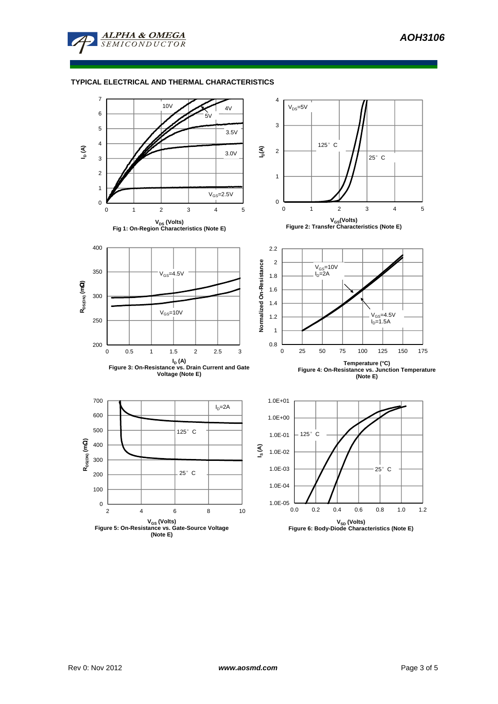

## **TYPICAL ELECTRICAL AND THERMAL CHARACTERISTICS**

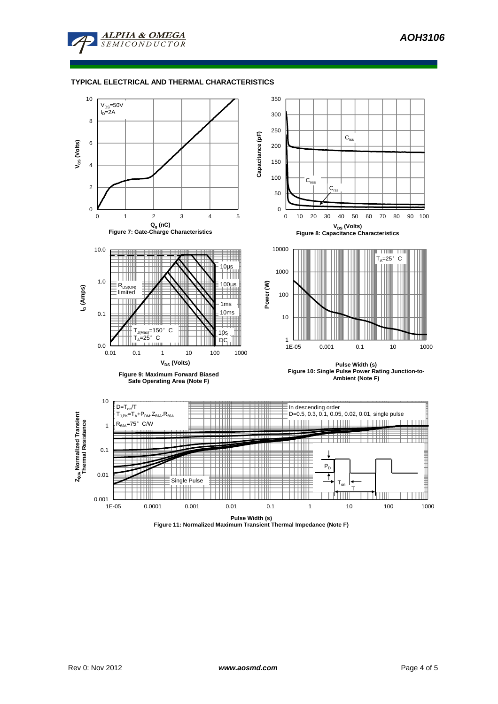

## **TYPICAL ELECTRICAL AND THERMAL CHARACTERISTICS**